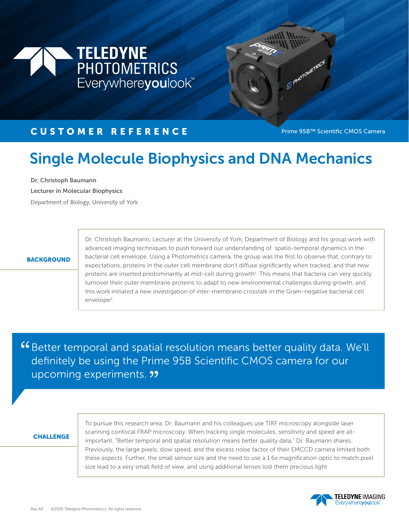



SE PHOTOMETRICS

# Single Molecule Biophysics and DNA Mechanics

Dr. Christoph Baumann

Lecturer in Molecular Biophysics

Department of Biology, University of York

### **BACKGROUND**

Dr. Christoph Baumann, Lecturer at the University of York, Department of Biology and his group work with advanced imaging techniques to push forward our understanding of spatio-temporal dynamics in the bacterial cell envelope. Using a Photometrics camera, the group was the first to observe that, contrary to expectations, proteins in the outer cell membrane don't diffuse significantly when tracked, and that new proteins are inserted predominantly at mid-cell during growth<sup>1</sup>. This means that bacteria can very quickly turnover their outer membrane proteins to adapt to new environmental challenges during growth, and this work initiated a new investigation of inter-membrane crosstalk in the Gram-negative bacterial cell envelope<sup>2</sup>.

Better temporal and spatial resolution means better quality data. We'll " definitely be using the Prime 95B Scientific CMOS camera for our definitely be using the Prin<br>upcoming experiments. **99** 

## **CHALLENGE**

To pursue this research area, Dr. Baumann and his colleagues use TIRF microscopy alongside laser scanning confocal FRAP microscopy. When tracking single molecules, sensitivity and speed are allimportant. "Better temporal and spatial resolution means better quality data," Dr. Baumann shares. Previously, the large pixels, slow speed, and the excess noise factor of their EMCCD camera limited both these aspects. Further, the small sensor size and the need to use a 1.6x magnification optic to match pixel size lead to a very small field of view, and using additional lenses lost them precious light.